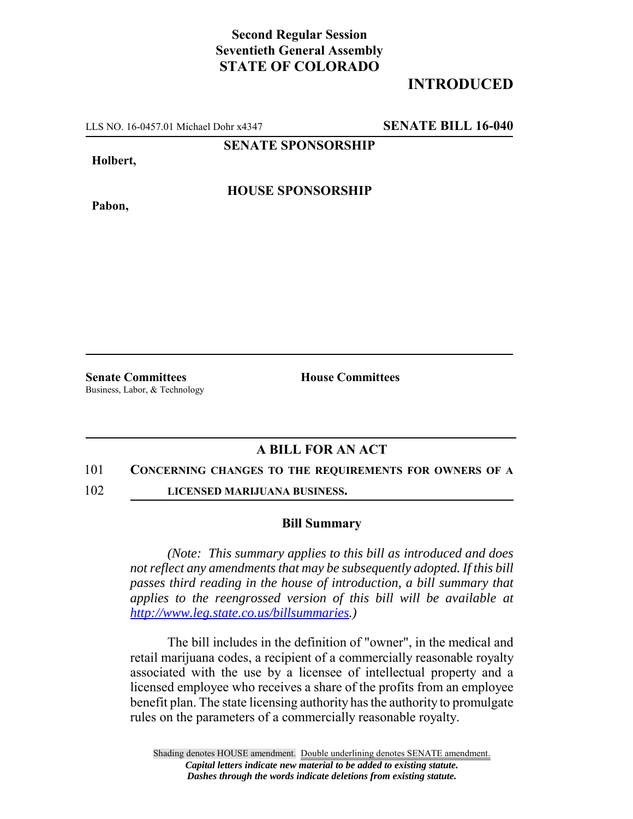# **Second Regular Session Seventieth General Assembly STATE OF COLORADO**

# **INTRODUCED**

LLS NO. 16-0457.01 Michael Dohr x4347 **SENATE BILL 16-040**

**SENATE SPONSORSHIP**

**Holbert,**

**Pabon,**

**HOUSE SPONSORSHIP**

**Senate Committees House Committees** Business, Labor, & Technology

## **A BILL FOR AN ACT**

#### 101 **CONCERNING CHANGES TO THE REQUIREMENTS FOR OWNERS OF A**

102 **LICENSED MARIJUANA BUSINESS.**

### **Bill Summary**

*(Note: This summary applies to this bill as introduced and does not reflect any amendments that may be subsequently adopted. If this bill passes third reading in the house of introduction, a bill summary that applies to the reengrossed version of this bill will be available at http://www.leg.state.co.us/billsummaries.)*

The bill includes in the definition of "owner", in the medical and retail marijuana codes, a recipient of a commercially reasonable royalty associated with the use by a licensee of intellectual property and a licensed employee who receives a share of the profits from an employee benefit plan. The state licensing authority has the authority to promulgate rules on the parameters of a commercially reasonable royalty.

Shading denotes HOUSE amendment. Double underlining denotes SENATE amendment. *Capital letters indicate new material to be added to existing statute. Dashes through the words indicate deletions from existing statute.*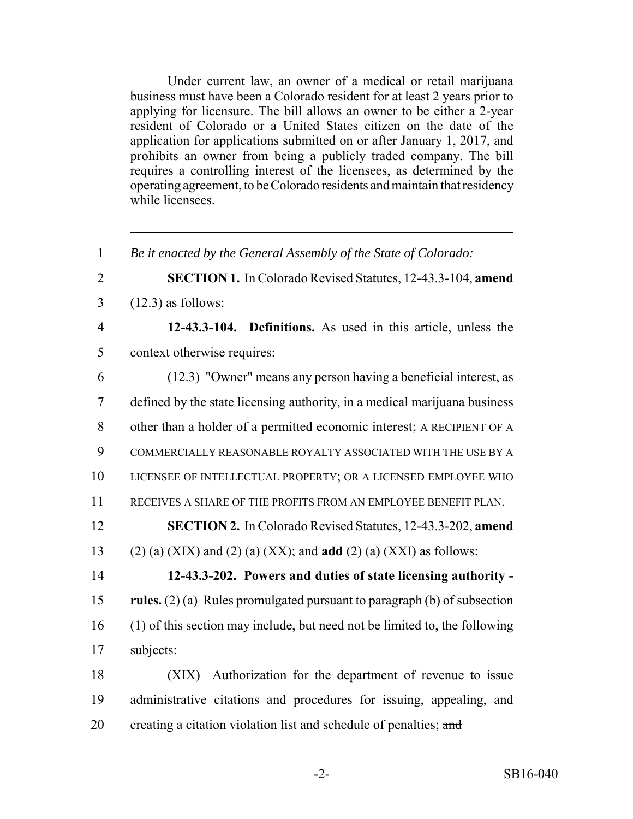Under current law, an owner of a medical or retail marijuana business must have been a Colorado resident for at least 2 years prior to applying for licensure. The bill allows an owner to be either a 2-year resident of Colorado or a United States citizen on the date of the application for applications submitted on or after January 1, 2017, and prohibits an owner from being a publicly traded company. The bill requires a controlling interest of the licensees, as determined by the operating agreement, to be Colorado residents and maintain that residency while licensees.

 *Be it enacted by the General Assembly of the State of Colorado:* **SECTION 1.** In Colorado Revised Statutes, 12-43.3-104, **amend** (12.3) as follows: **12-43.3-104. Definitions.** As used in this article, unless the context otherwise requires: (12.3) "Owner" means any person having a beneficial interest, as defined by the state licensing authority, in a medical marijuana business other than a holder of a permitted economic interest; A RECIPIENT OF A COMMERCIALLY REASONABLE ROYALTY ASSOCIATED WITH THE USE BY A LICENSEE OF INTELLECTUAL PROPERTY; OR A LICENSED EMPLOYEE WHO RECEIVES A SHARE OF THE PROFITS FROM AN EMPLOYEE BENEFIT PLAN. **SECTION 2.** In Colorado Revised Statutes, 12-43.3-202, **amend** (2) (a) (XIX) and (2) (a) (XX); and **add** (2) (a) (XXI) as follows: **12-43.3-202. Powers and duties of state licensing authority - rules.** (2) (a) Rules promulgated pursuant to paragraph (b) of subsection (1) of this section may include, but need not be limited to, the following subjects: (XIX) Authorization for the department of revenue to issue administrative citations and procedures for issuing, appealing, and 20 creating a citation violation list and schedule of penalties; and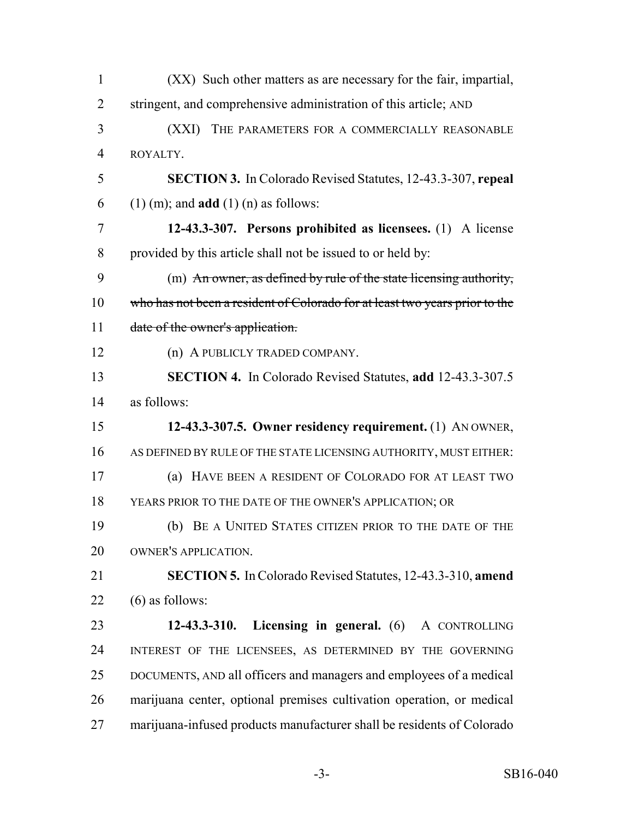| $\mathbf{1}$   | (XX) Such other matters as are necessary for the fair, impartial,           |
|----------------|-----------------------------------------------------------------------------|
| $\overline{2}$ | stringent, and comprehensive administration of this article; AND            |
| 3              | THE PARAMETERS FOR A COMMERCIALLY REASONABLE<br>(XXI)                       |
| $\overline{4}$ | ROYALTY.                                                                    |
| 5              | <b>SECTION 3.</b> In Colorado Revised Statutes, 12-43.3-307, repeal         |
| 6              | $(1)$ (m); and <b>add</b> $(1)$ (n) as follows:                             |
| 7              | 12-43.3-307. Persons prohibited as licensees. (1) A license                 |
| 8              | provided by this article shall not be issued to or held by:                 |
| 9              | (m) An owner, as defined by rule of the state licensing authority,          |
| 10             | who has not been a resident of Colorado for at least two years prior to the |
| 11             | date of the owner's application.                                            |
| 12             | (n) A PUBLICLY TRADED COMPANY.                                              |
| 13             | <b>SECTION 4.</b> In Colorado Revised Statutes, add 12-43.3-307.5           |
| 14             | as follows:                                                                 |
| 15             | 12-43.3-307.5. Owner residency requirement. (1) AN OWNER,                   |
| 16             | AS DEFINED BY RULE OF THE STATE LICENSING AUTHORITY, MUST EITHER:           |
| 17             | (a) HAVE BEEN A RESIDENT OF COLORADO FOR AT LEAST TWO                       |
| 18             | YEARS PRIOR TO THE DATE OF THE OWNER'S APPLICATION; OR                      |
| 19             | (b) BE A UNITED STATES CITIZEN PRIOR TO THE DATE OF THE                     |
| 20             | OWNER'S APPLICATION.                                                        |
| 21             | <b>SECTION 5.</b> In Colorado Revised Statutes, 12-43.3-310, amend          |
| 22             | $(6)$ as follows:                                                           |
| 23             | Licensing in general. (6) A CONTROLLING<br>$12 - 43.3 - 310.$               |
| 24             | INTEREST OF THE LICENSEES, AS DETERMINED BY THE GOVERNING                   |
| 25             | DOCUMENTS, AND all officers and managers and employees of a medical         |
| 26             | marijuana center, optional premises cultivation operation, or medical       |
| 27             | marijuana-infused products manufacturer shall be residents of Colorado      |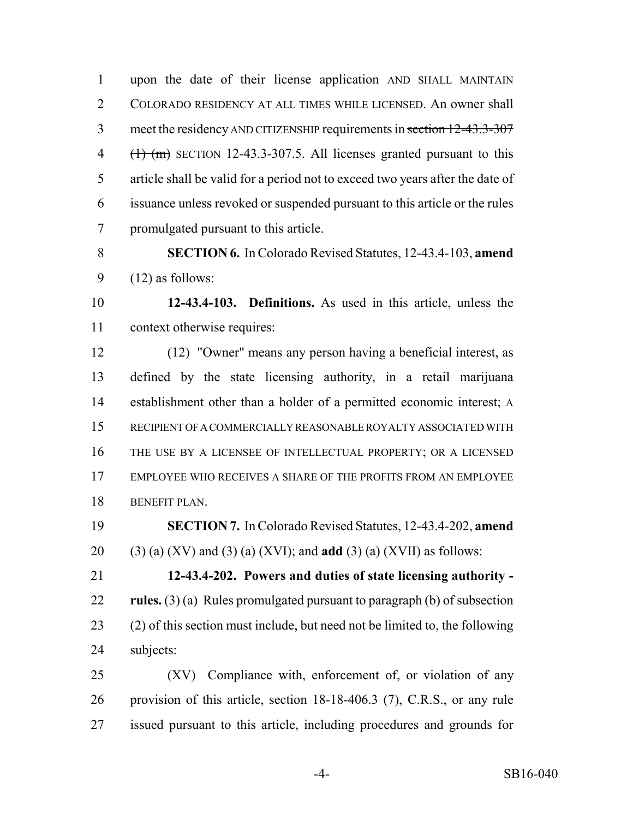upon the date of their license application AND SHALL MAINTAIN COLORADO RESIDENCY AT ALL TIMES WHILE LICENSED. An owner shall 3 meet the residency AND CITIZENSHIP requirements in section 12-43.3-307  $(\text{1})$  (m) SECTION 12-43.3-307.5. All licenses granted pursuant to this article shall be valid for a period not to exceed two years after the date of issuance unless revoked or suspended pursuant to this article or the rules promulgated pursuant to this article.

 **SECTION 6.** In Colorado Revised Statutes, 12-43.4-103, **amend**  $9 \qquad (12)$  as follows:

 **12-43.4-103. Definitions.** As used in this article, unless the context otherwise requires:

 (12) "Owner" means any person having a beneficial interest, as defined by the state licensing authority, in a retail marijuana establishment other than a holder of a permitted economic interest; A RECIPIENT OF A COMMERCIALLY REASONABLE ROYALTY ASSOCIATED WITH THE USE BY A LICENSEE OF INTELLECTUAL PROPERTY; OR A LICENSED EMPLOYEE WHO RECEIVES A SHARE OF THE PROFITS FROM AN EMPLOYEE BENEFIT PLAN.

 **SECTION 7.** In Colorado Revised Statutes, 12-43.4-202, **amend** (3) (a) (XV) and (3) (a) (XVI); and **add** (3) (a) (XVII) as follows:

 **12-43.4-202. Powers and duties of state licensing authority - rules.** (3) (a) Rules promulgated pursuant to paragraph (b) of subsection (2) of this section must include, but need not be limited to, the following subjects:

 (XV) Compliance with, enforcement of, or violation of any provision of this article, section 18-18-406.3 (7), C.R.S., or any rule issued pursuant to this article, including procedures and grounds for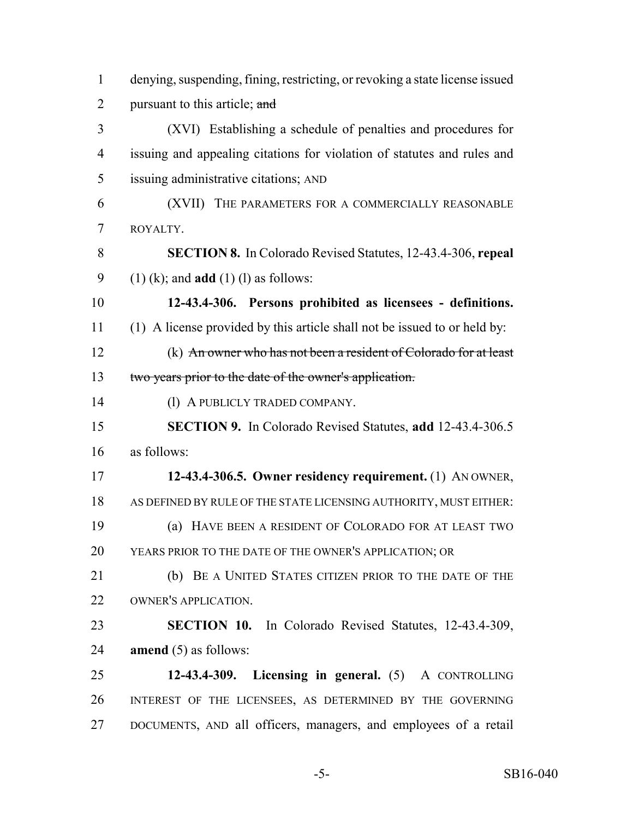| $\mathbf{1}$   | denying, suspending, fining, restricting, or revoking a state license issued |
|----------------|------------------------------------------------------------------------------|
| $\overline{2}$ | pursuant to this article; and                                                |
| 3              | (XVI) Establishing a schedule of penalties and procedures for                |
| $\overline{4}$ | issuing and appealing citations for violation of statutes and rules and      |
| 5              | issuing administrative citations; AND                                        |
| 6              | (XVII) THE PARAMETERS FOR A COMMERCIALLY REASONABLE                          |
| $\overline{7}$ | ROYALTY.                                                                     |
| 8              | <b>SECTION 8.</b> In Colorado Revised Statutes, 12-43.4-306, repeal          |
| 9              | $(1)$ (k); and <b>add</b> $(1)$ (l) as follows:                              |
| 10             | 12-43.4-306. Persons prohibited as licensees - definitions.                  |
| 11             | (1) A license provided by this article shall not be issued to or held by:    |
| 12             | (k) An owner who has not been a resident of Colorado for at least            |
| 13             | two years prior to the date of the owner's application.                      |
| 14             | (1) A PUBLICLY TRADED COMPANY.                                               |
| 15             | <b>SECTION 9.</b> In Colorado Revised Statutes, add 12-43.4-306.5            |
| 16             | as follows:                                                                  |
| 17             | 12-43.4-306.5. Owner residency requirement. (1) AN OWNER,                    |
| 18             | AS DEFINED BY RULE OF THE STATE LICENSING AUTHORITY, MUST EITHER:            |
| 19             | (a) HAVE BEEN A RESIDENT OF COLORADO FOR AT LEAST TWO                        |
| 20             | YEARS PRIOR TO THE DATE OF THE OWNER'S APPLICATION; OR                       |
| 21             | (b) BE A UNITED STATES CITIZEN PRIOR TO THE DATE OF THE                      |
| 22             | <b>OWNER'S APPLICATION.</b>                                                  |
| 23             | <b>SECTION 10.</b> In Colorado Revised Statutes, 12-43.4-309,                |
| 24             | <b>amend</b> $(5)$ as follows:                                               |
| 25             | 12-43.4-309. Licensing in general. (5) A CONTROLLING                         |
| 26             | INTEREST OF THE LICENSEES, AS DETERMINED BY THE GOVERNING                    |
| 27             | DOCUMENTS, AND all officers, managers, and employees of a retail             |